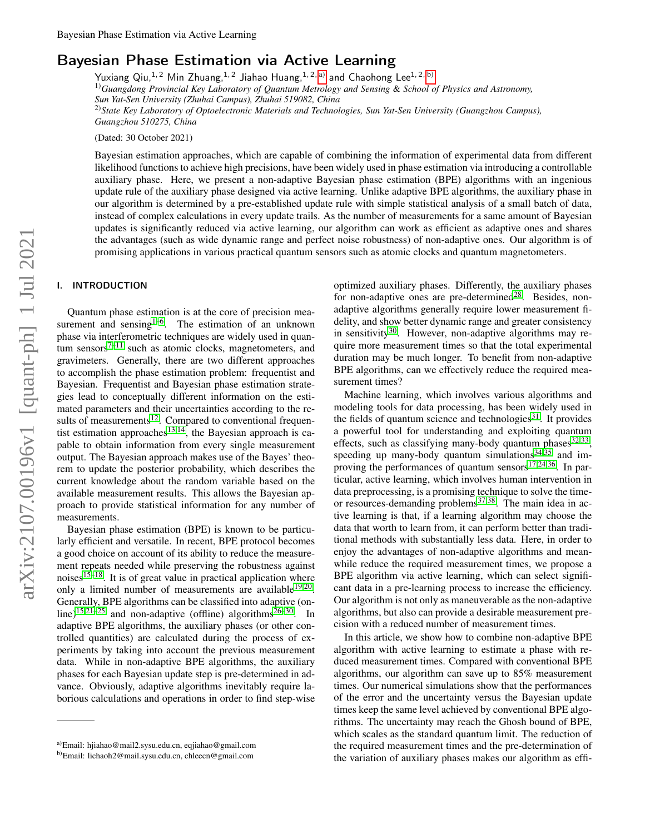# Bayesian Phase Estimation via Active Learning

Yuxiang Qiu,<sup>1,2</sup> Min Zhuang,<sup>1,2</sup> Jiahao Huang,<sup>1,2, [a\)](#page-0-0)</sup> and Chaohong Lee<sup>1,2, [b\)](#page-0-1)</sup> 1)*Guangdong Provincial Key Laboratory of Quantum Metrology and Sensing* & *School of Physics and Astronomy, Sun Yat-Sen University (Zhuhai Campus), Zhuhai 519082, China* 2)*State Key Laboratory of Optoelectronic Materials and Technologies, Sun Yat-Sen University (Guangzhou Campus), Guangzhou 510275, China*

(Dated: 30 October 2021)

Bayesian estimation approaches, which are capable of combining the information of experimental data from different likelihood functions to achieve high precisions, have been widely used in phase estimation via introducing a controllable auxiliary phase. Here, we present a non-adaptive Bayesian phase estimation (BPE) algorithms with an ingenious update rule of the auxiliary phase designed via active learning. Unlike adaptive BPE algorithms, the auxiliary phase in our algorithm is determined by a pre-established update rule with simple statistical analysis of a small batch of data, instead of complex calculations in every update trails. As the number of measurements for a same amount of Bayesian updates is significantly reduced via active learning, our algorithm can work as efficient as adaptive ones and shares the advantages (such as wide dynamic range and perfect noise robustness) of non-adaptive ones. Our algorithm is of promising applications in various practical quantum sensors such as atomic clocks and quantum magnetometers.

# I. INTRODUCTION

Quantum phase estimation is at the core of precision measurement and sensing $1-6$  $1-6$ . The estimation of an unknown phase via interferometric techniques are widely used in quan-tum sensors<sup>[7–](#page-6-2)[11](#page-6-3)</sup> such as atomic clocks, magnetometers, and gravimeters. Generally, there are two different approaches to accomplish the phase estimation problem: frequentist and Bayesian. Frequentist and Bayesian phase estimation strategies lead to conceptually different information on the estimated parameters and their uncertainties according to the re-sults of measurements<sup>[12](#page-6-4)</sup>. Compared to conventional frequen-tist estimation approaches<sup>[13](#page-6-5)[,14](#page-6-6)</sup>, the Bayesian approach is capable to obtain information from every single measurement output. The Bayesian approach makes use of the Bayes' theorem to update the posterior probability, which describes the current knowledge about the random variable based on the available measurement results. This allows the Bayesian approach to provide statistical information for any number of measurements.

Bayesian phase estimation (BPE) is known to be particularly efficient and versatile. In recent, BPE protocol becomes a good choice on account of its ability to reduce the measurement repeats needed while preserving the robustness against noises $15-18$  $15-18$ . It is of great value in practical application where only a limited number of measurements are available<sup>[19,](#page-6-9)[20](#page-6-10)</sup>. Generally, BPE algorithms can be classified into adaptive (on-line)<sup>[15](#page-6-7)[,21–](#page-6-11)[25](#page-6-12)</sup> and non-adaptive (offline) algorithms<sup> $26-30$  $26-30$ </sup>. In adaptive BPE algorithms, the auxiliary phases (or other controlled quantities) are calculated during the process of experiments by taking into account the previous measurement data. While in non-adaptive BPE algorithms, the auxiliary phases for each Bayesian update step is pre-determined in advance. Obviously, adaptive algorithms inevitably require laborious calculations and operations in order to find step-wise

optimized auxiliary phases. Differently, the auxiliary phases for non-adaptive ones are pre-determined<sup>[28](#page-6-15)</sup>. Besides, nonadaptive algorithms generally require lower measurement fidelity, and show better dynamic range and greater consistency in sensitivity<sup>[30](#page-6-14)</sup>. However, non-adaptive algorithms may require more measurement times so that the total experimental duration may be much longer. To benefit from non-adaptive BPE algorithms, can we effectively reduce the required measurement times?

Machine learning, which involves various algorithms and modeling tools for data processing, has been widely used in the fields of quantum science and technologies $31$ . It provides a powerful tool for understanding and exploiting quantum effects, such as classifying many-body quantum phases $32,33$  $32,33$ , speeding up many-body quantum simulations $34,35$  $34,35$  and improving the performances of quantum sensors $^{17,24,36}$  $^{17,24,36}$  $^{17,24,36}$  $^{17,24,36}$  $^{17,24,36}$ . In particular, active learning, which involves human intervention in data preprocessing, is a promising technique to solve the timeor resources-demanding problems $37,38$  $37,38$ . The main idea in active learning is that, if a learning algorithm may choose the data that worth to learn from, it can perform better than traditional methods with substantially less data. Here, in order to enjoy the advantages of non-adaptive algorithms and meanwhile reduce the required measurement times, we propose a BPE algorithm via active learning, which can select significant data in a pre-learning process to increase the efficiency. Our algorithm is not only as maneuverable as the non-adaptive algorithms, but also can provide a desirable measurement precision with a reduced number of measurement times.

In this article, we show how to combine non-adaptive BPE algorithm with active learning to estimate a phase with reduced measurement times. Compared with conventional BPE algorithms, our algorithm can save up to 85% measurement times. Our numerical simulations show that the performances of the error and the uncertainty versus the Bayesian update times keep the same level achieved by conventional BPE algorithms. The uncertainty may reach the Ghosh bound of BPE, which scales as the standard quantum limit. The reduction of the required measurement times and the pre-determination of the variation of auxiliary phases makes our algorithm as effi-

<span id="page-0-0"></span>a)Email: hjiahao@mail2.sysu.edu.cn, eqjiahao@gmail.com

<span id="page-0-1"></span>b)Email: lichaoh2@mail.sysu.edu.cn, chleecn@gmail.com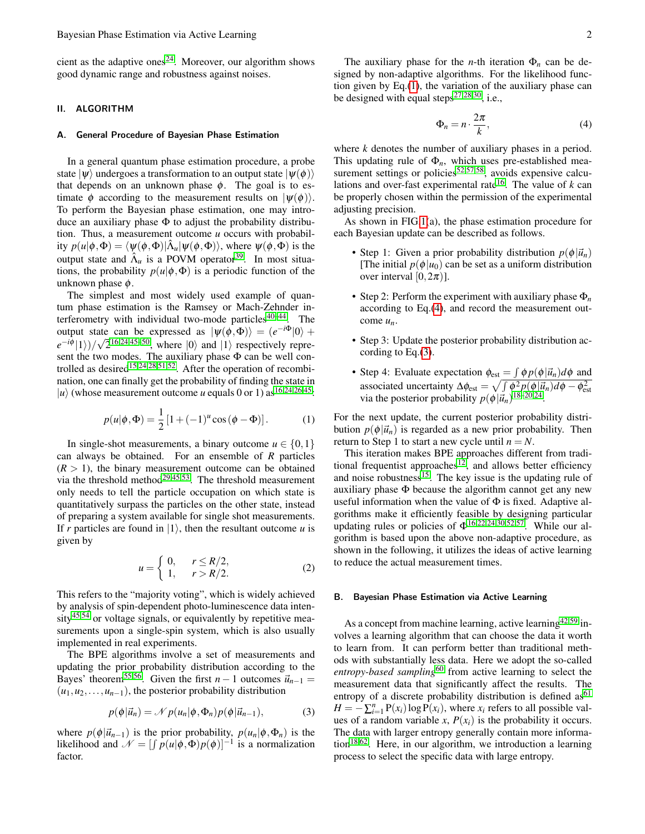cient as the adaptive ones<sup>[24](#page-6-17)</sup>. Moreover, our algorithm shows good dynamic range and robustness against noises.

# II. ALGORITHM

#### A. General Procedure of Bayesian Phase Estimation

In a general quantum phase estimation procedure, a probe state  $|\psi\rangle$  undergoes a transformation to an output state  $|\psi(\phi)\rangle$ that depends on an unknown phase  $\phi$ . The goal is to estimate  $\phi$  according to the measurement results on  $|\psi(\phi)\rangle$ . To perform the Bayesian phase estimation, one may introduce an auxiliary phase  $\Phi$  to adjust the probability distribution. Thus, a measurement outcome *u* occurs with probability  $p(u|\phi, \Phi) = \langle \psi(\phi, \Phi) | \hat{\Lambda}_u | \psi(\phi, \Phi) \rangle$ , where  $\psi(\phi, \Phi)$  is the output state and  $\hat{\Lambda}_u$  is a POVM operator<sup>[39](#page-7-8)</sup>. In most situations, the probability  $p(u|\phi, \Phi)$  is a periodic function of the unknown phase  $\phi$ .

The simplest and most widely used example of quantum phase estimation is the Ramsey or Mach-Zehnder interferometry with individual two-mode particles $40-44$  $40-44$ . The output state can be expressed as  $|\psi(\phi, \Phi)\rangle = (e^{-i\Phi}|0\rangle +$  $e^{-i\phi}$ (1))/ $\sqrt{2}^{16,24,45-50}$  $\sqrt{2}^{16,24,45-50}$  $\sqrt{2}^{16,24,45-50}$  $\sqrt{2}^{16,24,45-50}$  $\sqrt{2}^{16,24,45-50}$  $\sqrt{2}^{16,24,45-50}$ , where  $|0\rangle$  and  $|1\rangle$  respectively represent the two modes. The auxiliary phase Φ can be well con-trolled as desired<sup>[15,](#page-6-7)[24,](#page-6-17)[28](#page-6-15)[,51](#page-7-13)[,52](#page-7-14)</sup>. After the operation of recombination, one can finally get the probability of finding the state in  $|u\rangle$  (whose measurement outcome *u* equals 0 or 1) as <sup>[16](#page-6-18)[,24](#page-6-17)[,26](#page-6-13)[,45](#page-7-11)</sup>:

<span id="page-1-0"></span>
$$
p(u|\phi,\Phi) = \frac{1}{2} [1 + (-1)^u \cos(\phi - \Phi)].
$$
 (1)

In single-shot measurements, a binary outcome  $u \in \{0,1\}$ can always be obtained. For an ensemble of *R* particles  $(R > 1)$ , the binary measurement outcome can be obtained via the threshold method<sup>[29,](#page-6-19)[45,](#page-7-11)[53](#page-7-15)</sup>. The threshold measurement only needs to tell the particle occupation on which state is quantitatively surpass the particles on the other state, instead of preparing a system available for single shot measurements. If *r* particles are found in  $|1\rangle$ , then the resultant outcome *u* is given by

<span id="page-1-3"></span>
$$
u = \begin{cases} 0, & r \le R/2, \\ 1, & r > R/2. \end{cases} \tag{2}
$$

This refers to the "majority voting", which is widely achieved by analysis of spin-dependent photo-luminescence data inten- $sity<sup>45,54</sup>$  $sity<sup>45,54</sup>$  $sity<sup>45,54</sup>$  $sity<sup>45,54</sup>$  or voltage signals, or equivalently by repetitive measurements upon a single-spin system, which is also usually implemented in real experiments.

The BPE algorithms involve a set of measurements and updating the prior probability distribution according to the Bayes' theorem<sup>[55,](#page-7-17)[56](#page-7-18)</sup>. Given the first *n* − 1 outcomes  $\vec{u}_{n-1}$  =  $(u_1, u_2, \ldots, u_{n-1})$ , the posterior probability distribution

<span id="page-1-2"></span>
$$
p(\phi|\vec{u}_n) = \mathcal{N}p(u_n|\phi, \Phi_n)p(\phi|\vec{u}_{n-1}),
$$
 (3)

where  $p(\phi|\vec{u}_{n-1})$  is the prior probability,  $p(u_n|\phi, \Phi_n)$  is the likelihood and  $\mathcal{N} = \left[ \int p(u|\phi, \Phi) p(\phi) \right]^{-1}$  is a normalization factor.

The auxiliary phase for the *n*-th iteration  $\Phi_n$  can be designed by non-adaptive algorithms. For the likelihood function given by Eq.[\(1\)](#page-1-0), the variation of the auxiliary phase can be designed with equal steps<sup>[27](#page-6-20)[,28](#page-6-15)[,30](#page-6-14)</sup>, i.e.,

<span id="page-1-1"></span>
$$
\Phi_n = n \cdot \frac{2\pi}{k},\tag{4}
$$

where *k* denotes the number of auxiliary phases in a period. This updating rule of  $\Phi_n$ , which uses pre-established mea-surement settings or policies<sup>[52,](#page-7-14)[57](#page-7-19)[,58](#page-7-20)</sup>, avoids expensive calcu-lations and over-fast experimental rate<sup>[16](#page-6-18)</sup>. The value of  $k$  can be properly chosen within the permission of the experimental adjusting precision.

As shown in FIG[.1\(](#page-2-0)a), the phase estimation procedure for each Bayesian update can be described as follows.

- Step 1: Given a prior probability distribution  $p(\phi|\vec{u}_n)$ [The initial  $p(\phi|u_0)$  can be set as a uniform distribution over interval  $[0,2\pi)$ ].
- Step 2: Perform the experiment with auxiliary phase Φ*<sup>n</sup>* according to Eq.[\(4\)](#page-1-1), and record the measurement outcome *un*.
- Step 3: Update the posterior probability distribution according to Eq.[\(3\)](#page-1-2).
- Step 4: Evaluate expectation  $\phi_{\text{est}} = \int \phi p(\phi | \vec{u}_n) d\phi$  and associated uncertainty  $\Delta \phi_{\text{est}} = \sqrt{\int \phi^2 p(\phi | \vec{u}_n) d\phi - \phi_{\text{est}}^2}$ <br>via the posterior probability  $p(\phi | \vec{u}_n)^{18-20,24}$  $p(\phi | \vec{u}_n)^{18-20,24}$  $p(\phi | \vec{u}_n)^{18-20,24}$  $p(\phi | \vec{u}_n)^{18-20,24}$  $p(\phi | \vec{u}_n)^{18-20,24}$ .

For the next update, the current posterior probability distribution  $p(\phi|\vec{u}_n)$  is regarded as a new prior probability. Then return to Step 1 to start a new cycle until  $n = N$ .

This iteration makes BPE approaches different from tradi-tional frequentist approaches<sup>[12](#page-6-4)</sup>, and allows better efficiency and noise robustness<sup>[15](#page-6-7)</sup>. The key issue is the updating rule of auxiliary phase  $\Phi$  because the algorithm cannot get any new useful information when the value of  $\Phi$  is fixed. Adaptive algorithms make it efficiently feasible by designing particular updating rules or policies of  $\Phi^{16,22,24,30,52,57}$  $\Phi^{16,22,24,30,52,57}$  $\Phi^{16,22,24,30,52,57}$  $\Phi^{16,22,24,30,52,57}$  $\Phi^{16,22,24,30,52,57}$  $\Phi^{16,22,24,30,52,57}$  $\Phi^{16,22,24,30,52,57}$  $\Phi^{16,22,24,30,52,57}$ . While our algorithm is based upon the above non-adaptive procedure, as shown in the following, it utilizes the ideas of active learning to reduce the actual measurement times.

## B. Bayesian Phase Estimation via Active Learning

As a concept from machine learning, active learning<sup>[42](#page-7-21)[,59](#page-7-22)</sup> involves a learning algorithm that can choose the data it worth to learn from. It can perform better than traditional methods with substantially less data. Here we adopt the so-called entropy-based sampling<sup>[60](#page-7-23)</sup> from active learning to select the measurement data that significantly affect the results. The entropy of a discrete probability distribution is defined  $as<sup>61</sup>$  $as<sup>61</sup>$  $as<sup>61</sup>$  $H = -\sum_{i=1}^{n} P(x_i) \log P(x_i)$ , where *x<sub>i</sub>* refers to all possible values of a random variable *x*,  $P(x_i)$  is the probability it occurs. The data with larger entropy generally contain more informa-tion<sup>[18,](#page-6-8)[62](#page-7-25)</sup>. Here, in our algorithm, we introduction a learning process to select the specific data with large entropy.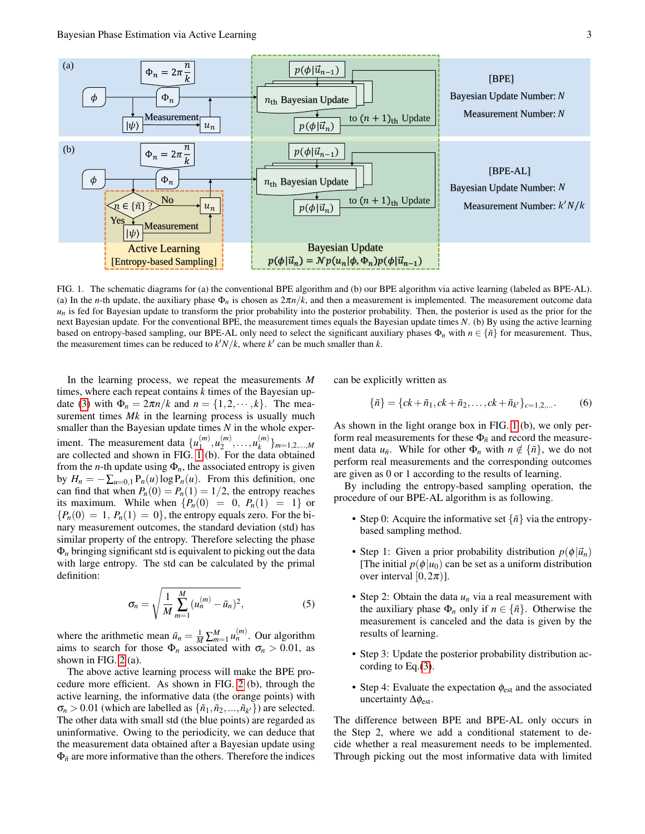

<span id="page-2-0"></span>based on entropy-based sampling, our BPE-AL only need to select the significant auxiliary phases  $\Phi_n$  with  $n \in {\{\tilde{n}\}}$  for measurement. Thus, FIG. 1. The schematic diagrams for (a) the conventional BPE algorithm and (b) our BPE algorithm via active learning (labeled as BPE-AL). (a) In the *n*-th update, the auxiliary phase  $\Phi_n$  is chosen as  $2\pi n/k$ , and then a measurement is implemented. The measurement outcome data  $u_n$  is fed for Bayesian update to transform the prior probability into the posterior probability. Then, the posterior is used as the prior for the next Bayesian update. For the conventional BPE, the measurement times equals the Bayesian update times *N*. (b) By using the active learning the measurement times can be reduced to  $k/N/k$ , where  $k'$  can be much smaller than  $k$ .

In the learning process, we repeat the measurements *M* times, where each repeat contains *k* times of the Bayesian up-date [\(3\)](#page-1-2) with  $\Phi_n = 2\pi n/k$  and  $n = \{1, 2, \dots, k\}$ . The measurement times *Mk* in the learning process is usually much smaller than the Bayesian update times *N* in the whole experiment. The measurement data  $\{u_1^{(m)}\}$  $\binom{m}{1}, \binom{m}{2}$  $\binom{m}{2}, \ldots, \binom{m}{k}$ *k* }*m*=1,2,...,*<sup>M</sup>* are collected and shown in FIG. [1](#page-2-0) (b). For the data obtained from the *n*-th update using  $\Phi_n$ , the associated entropy is given by  $H_n = -\sum_{u=0,1} P_n(u) \log P_n(u)$ . From this definition, one can find that when  $P_n(0) = P_n(1) = 1/2$ , the entropy reaches its maximum. While when  $\{P_n(0) = 0, P_n(1) = 1\}$  or  ${P_n(0) = 1, P_n(1) = 0}$ , the entropy equals zero. For the binary measurement outcomes, the standard deviation (std) has similar property of the entropy. Therefore selecting the phase Φ*<sup>n</sup>* bringing significant std is equivalent to picking out the data with large entropy. The std can be calculated by the primal definition:

$$
\sigma_n = \sqrt{\frac{1}{M} \sum_{m=1}^{M} (u_n^{(m)} - \bar{u}_n)^2},
$$
\n(5)

where the arithmetic mean  $\bar{u}_n = \frac{1}{M} \sum_{m=1}^{M} u_n^{(m)}$ . Our algorithm aims to search for those  $\Phi_n$  associated with  $\sigma_n > 0.01$ , as shown in FIG. [2](#page-3-0) (a).

The above active learning process will make the BPE procedure more efficient. As shown in FIG. [2](#page-3-0) (b), through the active learning, the informative data (the orange points) with  $\sigma_n > 0.01$  (which are labelled as  $\{\tilde{n}_1, \tilde{n}_2, ..., \tilde{n}_{k'}\}$ ) are selected. The other data with small std (the blue points) are regarded as uninformative. Owing to the periodicity, we can deduce that the measurement data obtained after a Bayesian update using  $\Phi_{\tilde{n}}$  are more informative than the others. Therefore the indices

can be explicitly written as

$$
\{\tilde{n}\} = \{ck + \tilde{n}_1, ck + \tilde{n}_2, \dots, ck + \tilde{n}_{k'}\}_{c=1,2,\dots}.
$$
 (6)

As shown in the light orange box in FIG. [1](#page-2-0) (b), we only perform real measurements for these  $\Phi_{\tilde{n}}$  and record the measurement data  $u_{\tilde{n}}$ . While for other  $\Phi_n$  with  $n \notin {\tilde{n}}$ , we do not perform real measurements and the corresponding outcomes are given as 0 or 1 according to the results of learning.

By including the entropy-based sampling operation, the procedure of our BPE-AL algorithm is as following.

- Step 0: Acquire the informative set  $\{\tilde{n}\}\$  via the entropybased sampling method.
- Step 1: Given a prior probability distribution  $p(\phi|\vec{u}_n)$ [The initial  $p(\phi|u_0)$  can be set as a uniform distribution over interval  $[0,2\pi)$ ].
- Step 2: Obtain the data *u<sup>n</sup>* via a real measurement with the auxiliary phase  $\Phi_n$  only if  $n \in {\{\tilde{n}\}}$ . Otherwise the measurement is canceled and the data is given by the results of learning.
- Step 3: Update the posterior probability distribution according to Eq.[\(3\)](#page-1-2).
- Step 4: Evaluate the expectation  $\phi_{est}$  and the associated uncertainty  $\Delta \phi_{\rm est}$ .

The difference between BPE and BPE-AL only occurs in the Step 2, where we add a conditional statement to decide whether a real measurement needs to be implemented. Through picking out the most informative data with limited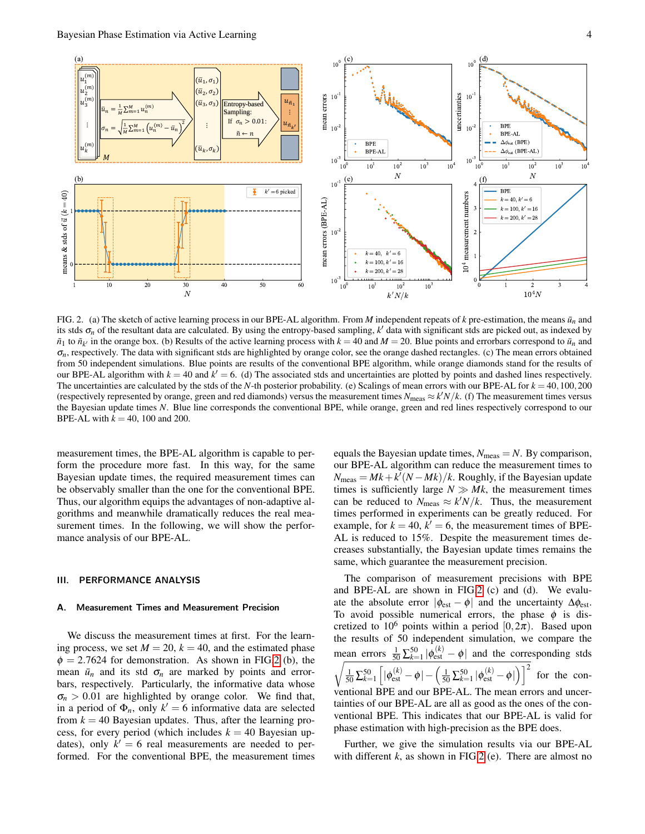



<span id="page-3-0"></span>FIG. 2. (a) The sketch of active learning process in our BPE-AL algorithm. From *M* independent repeats of *k* pre-estimation, the means  $\bar{u}_n$  and its stds  $\sigma_n$  of the resultant data are calculated. By using the entropy-based sampling,  $k'$  data with significant stds are picked out, as indexed by  $\tilde{n}_1$  to  $\tilde{n}_k$  in the orange box. (b) Results of the active learning process with  $k = 40$  and  $M = 20$ . Blue points and errorbars correspond to  $\tilde{u}_n$  and  $\sigma_n$ , respectively. The data with significant stds are highlighted by orange color, see the orange dashed rectangles. (c) The mean errors obtained from 50 independent simulations. Blue points are results of the conventional BPE algorithm, while orange diamonds stand for the results of our BPE-AL algorithm with  $k = 40$  and  $k' = 6$ . (d) The associated stds and uncertainties are plotted by points and dashed lines respectively. The uncertainties are calculated by the stds of the *N*-th posterior probability. (e) Scalings of mean errors with our BPE-AL for  $k = 40, 100, 200$ (respectively represented by orange, green and red diamonds) versus the measurement times  $N_{\text{meas}} \approx k'N/k$ . (f) The measurement times versus the Bayesian update times *N*. Blue line corresponds the conventional BPE, while orange, green and red lines respectively correspond to our BPE-AL with  $k = 40$ , 100 and 200.

measurement times, the BPE-AL algorithm is capable to perform the procedure more fast. In this way, for the same Bayesian update times, the required measurement times can be observably smaller than the one for the conventional BPE. Thus, our algorithm equips the advantages of non-adaptive algorithms and meanwhile dramatically reduces the real measurement times. In the following, we will show the performance analysis of our BPE-AL.

# III. PERFORMANCE ANALYSIS

### A. Measurement Times and Measurement Precision

We discuss the measurement times at first. For the learning process, we set  $M = 20$ ,  $k = 40$ , and the estimated phase  $\phi = 2.7624$  for demonstration. As shown in FIG[.2](#page-3-0) (b), the mean  $\bar{u}_n$  and its std  $\sigma_n$  are marked by points and errorbars, respectively. Particularly, the informative data whose  $\sigma_n > 0.01$  are highlighted by orange color. We find that, in a period of  $\Phi_n$ , only  $k' = 6$  informative data are selected from  $k = 40$  Bayesian updates. Thus, after the learning process, for every period (which includes  $k = 40$  Bayesian updates), only  $k' = 6$  real measurements are needed to performed. For the conventional BPE, the measurement times

equals the Bayesian update times,  $N_{\text{meas}} = N$ . By comparison, our BPE-AL algorithm can reduce the measurement times to  $N_{\text{meas}} = Mk + k^{l} (N - Mk) / k$ . Roughly, if the Bayesian update times is sufficiently large  $N \gg Mk$ , the measurement times can be reduced to  $N_{\text{meas}} \approx k'N/k$ . Thus, the measurement times performed in experiments can be greatly reduced. For example, for  $k = 40$ ,  $k' = 6$ , the measurement times of BPE-AL is reduced to 15%. Despite the measurement times decreases substantially, the Bayesian update times remains the same, which guarantee the measurement precision.

The comparison of measurement precisions with BPE and BPE-AL are shown in FIG[.2](#page-3-0) (c) and (d). We evaluate the absolute error  $|\phi_{est} - \phi|$  and the uncertainty  $\Delta \phi_{est}$ . To avoid possible numerical errors, the phase  $\phi$  is discretized to 10<sup>6</sup> points within a period  $[0,2\pi)$ . Based upon the results of 50 independent simulation, we compare the mean errors  $\frac{1}{50} \sum_{k=1}^{50} |\phi_{est}^{(k)} - \phi|$  and the corresponding stds  $\sqrt{\frac{1}{50}\sum_{k=1}^{50}}$  $\left[\lvert\phi_{\mathrm{est}}^{(k)} - \phi\rvert - \left(\frac{1}{50}\sum_{k=1}^{50}\lvert\phi_{\mathrm{est}}^{(k)} - \phi\rvert\right)\right]^2$ for the conventional BPE and our BPE-AL. The mean errors and uncertainties of our BPE-AL are all as good as the ones of the conventional BPE. This indicates that our BPE-AL is valid for phase estimation with high-precision as the BPE does.

Further, we give the simulation results via our BPE-AL with different *k*, as shown in FIG[.2](#page-3-0) (e). There are almost no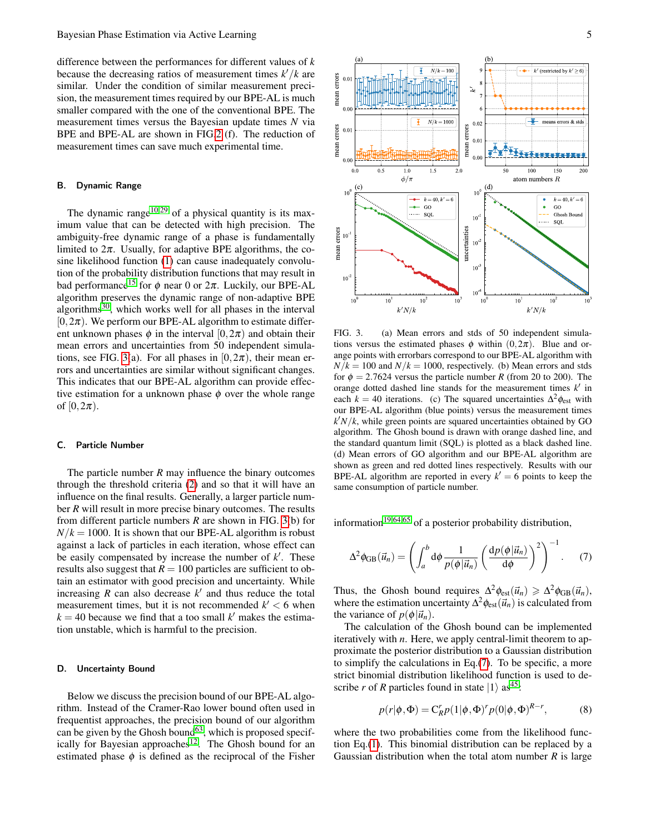difference between the performances for different values of *k* because the decreasing ratios of measurement times  $k'/k$  are similar. Under the condition of similar measurement precision, the measurement times required by our BPE-AL is much smaller compared with the one of the conventional BPE. The measurement times versus the Bayesian update times *N* via BPE and BPE-AL are shown in FIG[.2](#page-3-0) (f). The reduction of measurement times can save much experimental time.

# B. Dynamic Range

The dynamic range<sup>[10](#page-6-22)[,29](#page-6-19)</sup> of a physical quantity is its maximum value that can be detected with high precision. The ambiguity-free dynamic range of a phase is fundamentally limited to  $2\pi$ . Usually, for adaptive BPE algorithms, the cosine likelihood function [\(1\)](#page-1-0) can cause inadequately convolution of the probability distribution functions that may result in bad performance<sup>[15](#page-6-7)</sup> for  $\phi$  near 0 or  $2\pi$ . Luckily, our BPE-AL algorithm preserves the dynamic range of non-adaptive BPE algorithms<sup>[30](#page-6-14)</sup>, which works well for all phases in the interval  $[0,2\pi)$ . We perform our BPE-AL algorithm to estimate different unknown phases  $\phi$  in the interval  $[0,2\pi)$  and obtain their mean errors and uncertainties from 50 independent simula-tions, see FIG. [3\(](#page-4-0)a). For all phases in  $[0,2\pi)$ , their mean errors and uncertainties are similar without significant changes. This indicates that our BPE-AL algorithm can provide effective estimation for a unknown phase  $\phi$  over the whole range of  $[0,2\pi)$ .

# C. Particle Number

The particle number *R* may influence the binary outcomes through the threshold criteria [\(2\)](#page-1-3) and so that it will have an influence on the final results. Generally, a larger particle number *R* will result in more precise binary outcomes. The results from different particle numbers *R* are shown in FIG. [3\(](#page-4-0)b) for  $N/k = 1000$ . It is shown that our BPE-AL algorithm is robust against a lack of particles in each iteration, whose effect can be easily compensated by increase the number of  $k'$ . These results also suggest that  $R = 100$  particles are sufficient to obtain an estimator with good precision and uncertainty. While increasing  $R$  can also decrease  $k'$  and thus reduce the total measurement times, but it is not recommended  $k' < 6$  when  $k = 40$  because we find that a too small  $k'$  makes the estimation unstable, which is harmful to the precision.

#### D. Uncertainty Bound

Below we discuss the precision bound of our BPE-AL algorithm. Instead of the Cramer-Rao lower bound often used in frequentist approaches, the precision bound of our algorithm can be given by the Ghosh bound<sup>[63](#page-7-26)</sup>, which is proposed specif-ically for Bayesian approaches<sup>[12](#page-6-4)</sup>. The Ghosh bound for an estimated phase  $\phi$  is defined as the reciprocal of the Fisher



<span id="page-4-0"></span>FIG. 3. (a) Mean errors and stds of 50 independent simulations versus the estimated phases  $\phi$  within  $(0, 2\pi)$ . Blue and orange points with errorbars correspond to our BPE-AL algorithm with  $N/k = 100$  and  $N/k = 1000$ , respectively. (b) Mean errors and stds for  $\phi = 2.7624$  versus the particle number *R* (from 20 to 200). The orange dotted dashed line stands for the measurement times  $k'$  in each  $k = 40$  iterations. (c) The squared uncertainties  $\Delta^2 \phi_{est}$  with our BPE-AL algorithm (blue points) versus the measurement times  $k/N/k$ , while green points are squared uncertainties obtained by GO algorithm. The Ghosh bound is drawn with orange dashed line, and the standard quantum limit (SQL) is plotted as a black dashed line. (d) Mean errors of GO algorithm and our BPE-AL algorithm are shown as green and red dotted lines respectively. Results with our BPE-AL algorithm are reported in every  $k' = 6$  points to keep the same consumption of particle number.

information<sup>[19](#page-6-9)[,64](#page-7-27)[,65](#page-7-28)</sup> of a posterior probability distribution,

<span id="page-4-1"></span>
$$
\Delta^2 \phi_{GB}(\vec{u}_n) = \left( \int_a^b d\phi \, \frac{1}{p(\phi|\vec{u}_n)} \left( \frac{dp(\phi|\vec{u}_n)}{d\phi} \right)^2 \right)^{-1} . \tag{7}
$$

Thus, the Ghosh bound requires  $\Delta^2 \phi_{\text{est}}(\vec{u}_n) \geq \Delta^2 \phi_{\text{GB}}(\vec{u}_n)$ , where the estimation uncertainty  $\Delta^2 \phi_{est}(\vec{u}_n)$  is calculated from the variance of  $p(\phi|\vec{u}_n)$ .

The calculation of the Ghosh bound can be implemented iteratively with *n*. Here, we apply central-limit theorem to approximate the posterior distribution to a Gaussian distribution to simplify the calculations in Eq.[\(7\)](#page-4-1). To be specific, a more strict binomial distribution likelihood function is used to describe *r* of *R* particles found in state  $|1\rangle$  as<sup>[45](#page-7-11)</sup>:

$$
p(r|\phi, \Phi) = C_R^r p(1|\phi, \Phi)^r p(0|\phi, \Phi)^{R-r}, \tag{8}
$$

where the two probabilities come from the likelihood function Eq.[\(1\)](#page-1-0). This binomial distribution can be replaced by a Gaussian distribution when the total atom number *R* is large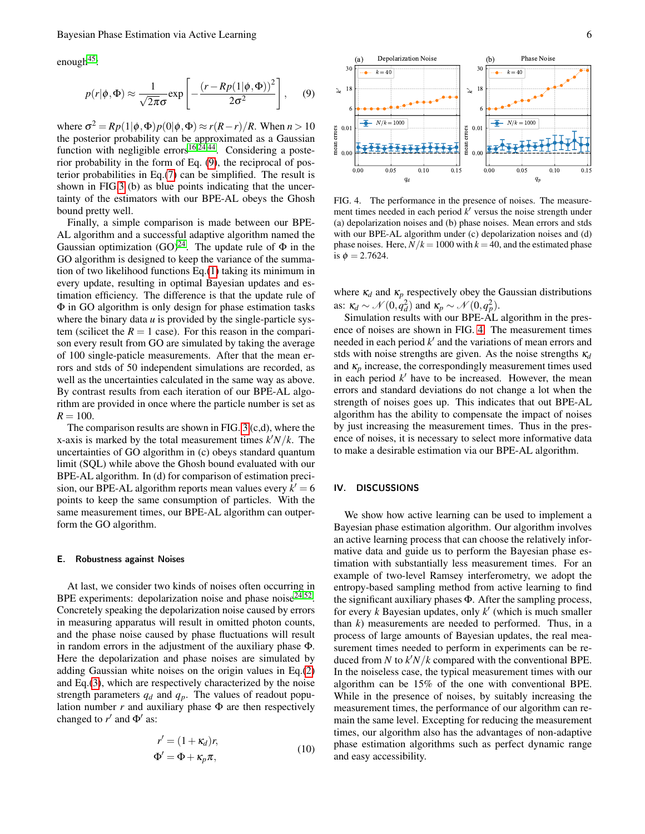enough $45$ :

<span id="page-5-0"></span>
$$
p(r|\phi,\Phi) \approx \frac{1}{\sqrt{2\pi}\sigma} \exp\left[-\frac{(r - Rp(1|\phi,\Phi))^2}{2\sigma^2}\right],\quad (9)
$$

where  $\sigma^2 = Rp(1|\phi, \Phi)p(0|\phi, \Phi) \approx r(R-r)/R$ . When  $n > 10$ the posterior probability can be approximated as a Gaussian function with negligible errors<sup>[16](#page-6-18)[,24](#page-6-17)[,44](#page-7-10)</sup>. Considering a posterior probability in the form of Eq. [\(9\)](#page-5-0), the reciprocal of posterior probabilities in Eq.[\(7\)](#page-4-1) can be simplified. The result is shown in FIG[.3](#page-4-0) (b) as blue points indicating that the uncertainty of the estimators with our BPE-AL obeys the Ghosh bound pretty well.

Finally, a simple comparison is made between our BPE-AL algorithm and a successful adaptive algorithm named the Gaussian optimization  $(GO)^{24}$  $(GO)^{24}$  $(GO)^{24}$ . The update rule of  $\Phi$  in the GO algorithm is designed to keep the variance of the summation of two likelihood functions Eq.[\(1\)](#page-1-0) taking its minimum in every update, resulting in optimal Bayesian updates and estimation efficiency. The difference is that the update rule of Φ in GO algorithm is only design for phase estimation tasks where the binary data  $u$  is provided by the single-particle system (scilicet the  $R = 1$  case). For this reason in the comparison every result from GO are simulated by taking the average of 100 single-paticle measurements. After that the mean errors and stds of 50 independent simulations are recorded, as well as the uncertainties calculated in the same way as above. By contrast results from each iteration of our BPE-AL algorithm are provided in once where the particle number is set as  $R = 100$ .

The comparison results are shown in FIG. [3](#page-4-0) (c,d), where the x-axis is marked by the total measurement times  $k/N/k$ . The uncertainties of GO algorithm in (c) obeys standard quantum limit (SQL) while above the Ghosh bound evaluated with our BPE-AL algorithm. In (d) for comparison of estimation precision, our BPE-AL algorithm reports mean values every  $k' = 6$ points to keep the same consumption of particles. With the same measurement times, our BPE-AL algorithm can outperform the GO algorithm.

## E. Robustness against Noises

At last, we consider two kinds of noises often occurring in BPE experiments: depolarization noise and phase noise<sup>[24,](#page-6-17)[52](#page-7-14)</sup>. Concretely speaking the depolarization noise caused by errors in measuring apparatus will result in omitted photon counts, and the phase noise caused by phase fluctuations will result in random errors in the adjustment of the auxiliary phase Φ. Here the depolarization and phase noises are simulated by adding Gaussian white noises on the origin values in Eq.[\(2\)](#page-1-3) and Eq.[\(3\)](#page-1-2), which are respectively characterized by the noise strength parameters  $q_d$  and  $q_p$ . The values of readout population number  $r$  and auxiliary phase  $\Phi$  are then respectively changed to  $r'$  and  $\Phi'$  as:

$$
r' = (1 + \kappa_d)r,
$$
  
\n
$$
\Phi' = \Phi + \kappa_p \pi,
$$
\n(10)



<span id="page-5-1"></span>FIG. 4. The performance in the presence of noises. The measurement times needed in each period  $k'$  versus the noise strength under (a) depolarization noises and (b) phase noises. Mean errors and stds with our BPE-AL algorithm under (c) depolarization noises and (d) phase noises. Here,  $N/k = 1000$  with  $k = 40$ , and the estimated phase is  $\phi = 2.7624$ .

where  $\kappa_d$  and  $\kappa_p$  respectively obey the Gaussian distributions as:  $\kappa_d \sim \mathcal{N}(0, q_d^2)$  and  $\kappa_p \sim \mathcal{N}(0, q_p^2)$ .

Simulation results with our BPE-AL algorithm in the presence of noises are shown in FIG. [4.](#page-5-1) The measurement times needed in each period  $k'$  and the variations of mean errors and stds with noise strengths are given. As the noise strengths κ*<sup>d</sup>* and  $\kappa_p$  increase, the correspondingly measurement times used in each period  $k'$  have to be increased. However, the mean errors and standard deviations do not change a lot when the strength of noises goes up. This indicates that out BPE-AL algorithm has the ability to compensate the impact of noises by just increasing the measurement times. Thus in the presence of noises, it is necessary to select more informative data to make a desirable estimation via our BPE-AL algorithm.

# IV. DISCUSSIONS

We show how active learning can be used to implement a Bayesian phase estimation algorithm. Our algorithm involves an active learning process that can choose the relatively informative data and guide us to perform the Bayesian phase estimation with substantially less measurement times. For an example of two-level Ramsey interferometry, we adopt the entropy-based sampling method from active learning to find the significant auxiliary phases Φ. After the sampling process, for every  $k$  Bayesian updates, only  $k'$  (which is much smaller than *k*) measurements are needed to performed. Thus, in a process of large amounts of Bayesian updates, the real measurement times needed to perform in experiments can be reduced from *N* to  $k/N/k$  compared with the conventional BPE. In the noiseless case, the typical measurement times with our algorithm can be 15% of the one with conventional BPE. While in the presence of noises, by suitably increasing the measurement times, the performance of our algorithm can remain the same level. Excepting for reducing the measurement times, our algorithm also has the advantages of non-adaptive phase estimation algorithms such as perfect dynamic range and easy accessibility.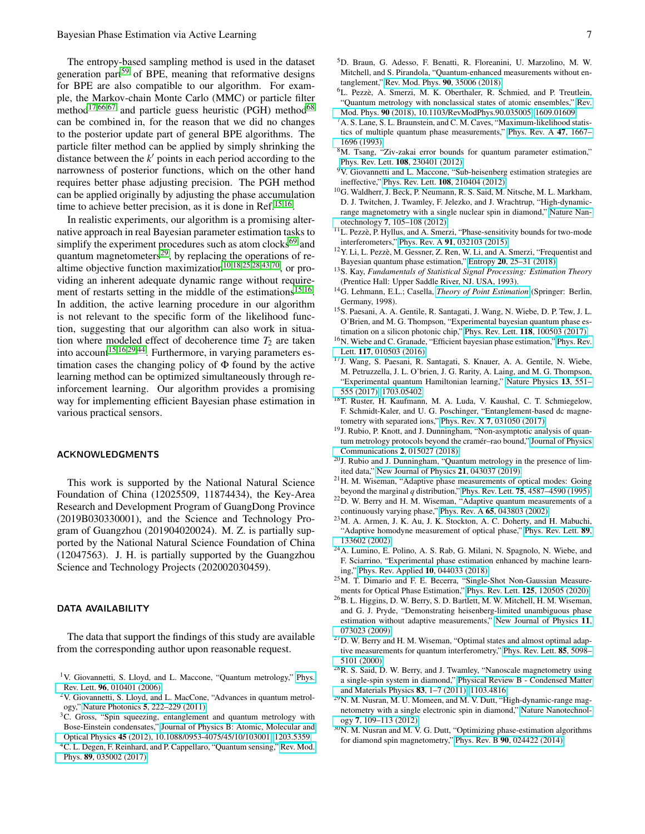The entropy-based sampling method is used in the dataset generation part<sup>[59](#page-7-22)</sup> of BPE, meaning that reformative designs for BPE are also compatible to our algorithm. For example, the Markov-chain Monte Carlo (MMC) or particle filter method<sup>[17](#page-6-16)[,66](#page-7-29)[,67](#page-7-30)</sup> and particle guess heuristic (PGH) method<sup>[68](#page-7-31)</sup> can be combined in, for the reason that we did no changes to the posterior update part of general BPE algorithms. The particle filter method can be applied by simply shrinking the distance between the  $k'$  points in each period according to the narrowness of posterior functions, which on the other hand requires better phase adjusting precision. The PGH method can be applied originally by adjusting the phase accumulation time to achieve better precision, as it is done in Ref.<sup>[15,](#page-6-7)[16](#page-6-18)</sup>.

In realistic experiments, our algorithm is a promising alternative approach in real Bayesian parameter estimation tasks to simplify the experiment procedures such as atom clocks $^{69}$  $^{69}$  $^{69}$  and quantum magnetometers<sup>[29](#page-6-19)</sup>, by replacing the operations of re-altime objective function maximization<sup>[10](#page-6-22)[,18](#page-6-8)[,25](#page-6-12)[,28,](#page-6-15)[43,](#page-7-33)[70](#page-7-34)</sup>, or providing an inherent adequate dynamic range without require-ment of restarts setting in the middle of the estimations<sup>[15,](#page-6-7)[16](#page-6-18)</sup>. In addition, the active learning procedure in our algorithm is not relevant to the specific form of the likelihood function, suggesting that our algorithm can also work in situation where modeled effect of decoherence time  $T_2$  are taken into account<sup>[15](#page-6-7)[,16](#page-6-18)[,29,](#page-6-19)[44](#page-7-10)</sup>. Furthermore, in varying parameters estimation cases the changing policy of Φ found by the active learning method can be optimized simultaneously through reinforcement learning. Our algorithm provides a promising way for implementing efficient Bayesian phase estimation in various practical sensors.

#### ACKNOWLEDGMENTS

This work is supported by the National Natural Science Foundation of China (12025509, 11874434), the Key-Area Research and Development Program of GuangDong Province (2019B030330001), and the Science and Technology Program of Guangzhou (201904020024). M. Z. is partially supported by the National Natural Science Foundation of China (12047563). J. H. is partially supported by the Guangzhou Science and Technology Projects (202002030459).

## DATA AVAILABILITY

The data that support the findings of this study are available from the corresponding author upon reasonable request.

- <span id="page-6-1"></span><sup>6</sup>L. Pezzè, A. Smerzi, M. K. Oberthaler, R. Schmied, and P. Treutlein, "Quantum metrology with nonclassical states of atomic ensembles," [Rev.](https://doi.org/10.1103/RevModPhys.90.035005) Mod. Phys. 90 [\(2018\), 10.1103/RevModPhys.90.035005,](https://doi.org/10.1103/RevModPhys.90.035005) [1609.01609.](https://arxiv.org/abs/1609.01609)
- <span id="page-6-2"></span> ${}^{7}A$ . S. Lane, S. L. Braunstein, and C. M. Caves, "Maximum-likelihood statistics of multiple quantum phase measurements," [Phys. Rev. A](https://doi.org/10.1103/PhysRevA.47.1667) 47, 1667– [1696 \(1993\).](https://doi.org/10.1103/PhysRevA.47.1667)
- <sup>8</sup>M. Tsang, "Ziv-zakai error bounds for quantum parameter estimation," Phys. Rev. Lett. 108[, 230401 \(2012\).](https://doi.org/10.1103/PhysRevLett.108.230401)
- <sup>9</sup>V. Giovannetti and L. Maccone, "Sub-heisenberg estimation strategies are ineffective," Phys. Rev. Lett. 108[, 210404 \(2012\).](https://doi.org/10.1103/PhysRevLett.108.210404)
- <span id="page-6-22"></span><sup>10</sup>G. Waldherr, J. Beck, P. Neumann, R. S. Said, M. Nitsche, M. L. Markham, D. J. Twitchen, J. Twamley, F. Jelezko, and J. Wrachtrup, "High-dynamicrange magnetometry with a single nuclear spin in diamond," [Nature Nan](https://doi.org/10.1038/nnano.2011.224)otechnology 7[, 105–108 \(2012\).](https://doi.org/10.1038/nnano.2011.224)
- <span id="page-6-3"></span><sup>11</sup>L. Pezzè, P. Hyllus, and A. Smerzi, "Phase-sensitivity bounds for two-mode interferometers," Phys. Rev. A 91[, 032103 \(2015\).](https://doi.org/10.1103/PhysRevA.91.032103)
- <span id="page-6-4"></span><sup>12</sup>Y. Li, L. Pezzè, M. Gessner, Z. Ren, W. Li, and A. Smerzi, "Frequentist and Bayesian quantum phase estimation," Entropy 20[, 25–31 \(2018\).](https://doi.org/10.3390/e20090628)
- <span id="page-6-5"></span><sup>13</sup>S. Kay, *Fundamentals of Statistical Signal Processing: Estimation Theory* (Prentice Hall: Upper Saddle River, NJ. USA, 1993).
- <span id="page-6-6"></span><sup>14</sup>G. Lehmann, E.L.; Casella, *[Theory of Point Estimation](https://doi.org/10.1007/b98854)* (Springer: Berlin, Germany, 1998).
- <span id="page-6-7"></span><sup>15</sup>S. Paesani, A. A. Gentile, R. Santagati, J. Wang, N. Wiebe, D. P. Tew, J. L. O'Brien, and M. G. Thompson, "Experimental bayesian quantum phase estimation on a silicon photonic chip," Phys. Rev. Lett. 118[, 100503 \(2017\).](https://doi.org/10.1103/PhysRevLett.118.100503)
- <span id="page-6-18"></span><sup>16</sup>N. Wiebe and C. Granade, "Efficient bayesian phase estimation," [Phys. Rev.](https://doi.org/10.1103/PhysRevLett.117.010503) Lett. 117[, 010503 \(2016\).](https://doi.org/10.1103/PhysRevLett.117.010503)
- <span id="page-6-16"></span><sup>17</sup>J. Wang, S. Paesani, R. Santagati, S. Knauer, A. A. Gentile, N. Wiebe, M. Petruzzella, J. L. O'brien, J. G. Rarity, A. Laing, and M. G. Thompson, "Experimental quantum Hamiltonian learning," [Nature Physics](https://doi.org/10.1038/nphys4074) 13, 551– [555 \(2017\),](https://doi.org/10.1038/nphys4074) [1703.05402.](https://arxiv.org/abs/1703.05402)
- <span id="page-6-8"></span><sup>18</sup>T. Ruster, H. Kaufmann, M. A. Luda, V. Kaushal, C. T. Schmiegelow, F. Schmidt-Kaler, and U. G. Poschinger, "Entanglement-based dc magnetometry with separated ions," Phys. Rev. X 7[, 031050 \(2017\).](https://doi.org/10.1103/PhysRevX.7.031050)
- <span id="page-6-9"></span><sup>19</sup>J. Rubio, P. Knott, and J. Dunningham, "Non-asymptotic analysis of quantum metrology protocols beyond the cramér–rao bound," [Journal of Physics](https://doi.org/10.1088/2399-6528/aaa234) [Communications](https://doi.org/10.1088/2399-6528/aaa234) 2, 015027 (2018).
- <span id="page-6-10"></span><sup>20</sup>J. Rubio and J. Dunningham, "Quantum metrology in the presence of limited data," [New Journal of Physics](https://doi.org/10.1088/1367-2630/ab098b) 21, 043037 (2019).
- <span id="page-6-11"></span><sup>21</sup>H. M. Wiseman, "Adaptive phase measurements of optical modes: Going beyond the marginal *q* distribution," Phys. Rev. Lett. 75[, 4587–4590 \(1995\).](https://doi.org/10.1103/PhysRevLett.75.4587)
- <span id="page-6-21"></span><sup>22</sup>D. W. Berry and H. M. Wiseman, "Adaptive quantum measurements of a continuously varying phase," Phys. Rev. A 65[, 043803 \(2002\).](https://doi.org/10.1103/PhysRevA.65.043803)
- <sup>23</sup>M. A. Armen, J. K. Au, J. K. Stockton, A. C. Doherty, and H. Mabuchi, "Adaptive homodyne measurement of optical phase," [Phys. Rev. Lett.](https://doi.org/10.1103/PhysRevLett.89.133602) 89, [133602 \(2002\).](https://doi.org/10.1103/PhysRevLett.89.133602)
- <span id="page-6-17"></span><sup>24</sup>A. Lumino, E. Polino, A. S. Rab, G. Milani, N. Spagnolo, N. Wiebe, and F. Sciarrino, "Experimental phase estimation enhanced by machine learning," [Phys. Rev. Applied](https://doi.org/10.1103/PhysRevApplied.10.044033) 10, 044033 (2018).
- <span id="page-6-12"></span> $25$ M. T. Dimario and F. E. Becerra, "Single-Shot Non-Gaussian Measurements for Optical Phase Estimation," Phys. Rev. Lett. 125[, 120505 \(2020\).](https://doi.org/10.1103/PhysRevLett.125.120505)
- <span id="page-6-13"></span><sup>26</sup>B. L. Higgins, D. W. Berry, S. D. Bartlett, M. W. Mitchell, H. M. Wiseman, and G. J. Pryde, "Demonstrating heisenberg-limited unambiguous phase estimation without adaptive measurements," [New Journal of Physics](https://doi.org/10.1088/1367-2630/11/7/073023) 11, [073023 \(2009\).](https://doi.org/10.1088/1367-2630/11/7/073023)
- <span id="page-6-20"></span><sup>27</sup>D. W. Berry and H. M. Wiseman, "Optimal states and almost optimal adaptive measurements for quantum interferometry," [Phys. Rev. Lett.](https://doi.org/10.1103/PhysRevLett.85.5098) 85, 5098– [5101 \(2000\).](https://doi.org/10.1103/PhysRevLett.85.5098)
- <span id="page-6-15"></span><sup>28</sup>R. S. Said, D. W. Berry, and J. Twamley, "Nanoscale magnetometry using a single-spin system in diamond," [Physical Review B - Condensed Matter](https://doi.org/10.1103/PhysRevB.83.125410) [and Materials Physics](https://doi.org/10.1103/PhysRevB.83.125410) 83, 1–7 (2011), [1103.4816.](https://arxiv.org/abs/1103.4816)
- <span id="page-6-19"></span><sup>29</sup>N. M. Nusran, M. U. Momeen, and M. V. Dutt, "High-dynamic-range magnetometry with a single electronic spin in diamond," [Nature Nanotechnol](https://doi.org/10.1038/nnano.2011.225)ogy 7[, 109–113 \(2012\).](https://doi.org/10.1038/nnano.2011.225)
- <span id="page-6-14"></span><sup>30</sup>N. M. Nusran and M. V. G. Dutt, "Optimizing phase-estimation algorithms for diamond spin magnetometry," Phys. Rev. B 90[, 024422 \(2014\).](https://doi.org/10.1103/PhysRevB.90.024422)

<span id="page-6-0"></span><sup>&</sup>lt;sup>1</sup>V. Giovannetti, S. Lloyd, and L. Maccone, "Quantum metrology," [Phys.](https://doi.org/10.1103/PhysRevLett.96.010401) Rev. Lett. 96[, 010401 \(2006\).](https://doi.org/10.1103/PhysRevLett.96.010401)

<sup>&</sup>lt;sup>2</sup>V. Giovannetti, S. Lloyd, and L. MacCone, "Advances in quantum metrology," Nature Photonics 5[, 222–229 \(2011\).](https://doi.org/10.1038/nphoton.2011.35)

<sup>&</sup>lt;sup>3</sup>C. Gross, "Spin squeezing, entanglement and quantum metrology with Bose-Einstein condensates," [Journal of Physics B: Atomic, Molecular and](https://doi.org/10.1088/0953-4075/45/10/103001) Optical Physics 45 [\(2012\), 10.1088/0953-4075/45/10/103001,](https://doi.org/10.1088/0953-4075/45/10/103001) [1203.5359.](https://arxiv.org/abs/1203.5359) <sup>4</sup>C. L. Degen, F. Reinhard, and P. Cappellaro, "Quantum sensing," [Rev. Mod.](https://doi.org/10.1103/RevModPhys.89.035002) Phys. 89[, 035002 \(2017\).](https://doi.org/10.1103/RevModPhys.89.035002)